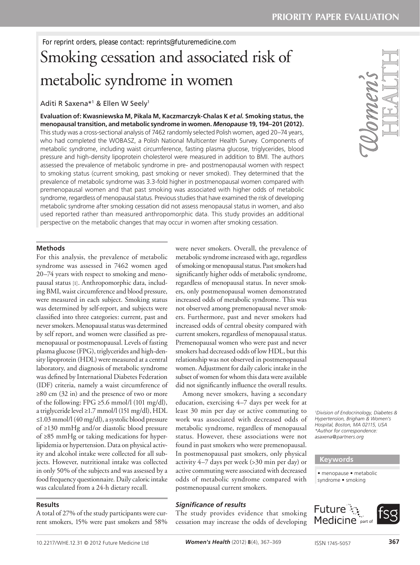# Smoking cessation and associated risk of metabolic syndrome in women

Aditi R Saxena\*1 & Ellen W Seely1

**Evaluation of: Kwasniewska M, Pikala M, Kaczmarczyk-Chalas K** *et al.* **Smoking status, the menopausal transition, and metabolic syndrome in women.** *Menopause* **19, 194–201 (2012).** This study was a cross-sectional analysis of 7462 randomly selected Polish women, aged 20–74 years, who had completed the WOBASZ, a Polish National Multicenter Health Survey. Components of metabolic syndrome, including waist circumference, fasting plasma glucose, triglycerides, blood pressure and high-density lipoprotein cholesterol were measured in addition to BMI. The authors assessed the prevalence of metabolic syndrome in pre- and postmenopausal women with respect to smoking status (current smoking, past smoking or never smoked). They determined that the prevalence of metabolic syndrome was 3.3-fold higher in postmenopausal women compared with premenopausal women and that past smoking was associated with higher odds of metabolic syndrome, regardless of menopausal status. Previous studies that have examined the risk of developing metabolic syndrome after smoking cessation did not assess menopausal status in women, and also used reported rather than measured anthropomorphic data. This study provides an additional perspective on the metabolic changes that may occur in women after smoking cessation.

#### **Methods**

For this analysis, the prevalence of metabolic syndrome was assessed in 7462 women aged 20–74 years with respect to smoking and menopausal status [1]. Anthropomorphic data, including BMI, waist circumference and blood pressure, were measured in each subject. Smoking status was determined by self-report, and subjects were classified into three categories: current, past and never smokers. Menopausal status was determined by self report, and women were classified as premenopausal or postmenopausal. Levels of fasting plasma glucose (FPG), triglycerides and high-density lipoprotein (HDL) were measured at a central laboratory, and diagnosis of metabolic syndrome was defined by International Diabetes Federation (IDF) criteria, namely a waist circumference of ≥80 cm (32 in) and the presence of two or more of the following: FPG  $\geq$ 5.6 mmol/l (101 mg/dl), a triglyceride level ≥1.7 mmol/l (151 mg/dl), HDL ≤1.03 mmol/l (40 mg/dl), a systolic blood pressure of ≥130 mmHg and/or diastolic blood pressure of ≥85 mmHg or taking medications for hyperlipidemia or hypertension. Data on physical activity and alcohol intake were collected for all subjects. However, nutritional intake was collected in only 50% of the subjects and was assessed by a food frequency questionnaire. Daily caloric intake was calculated from a 24-h dietary recall.

## **Results**

A total of 27% of the study participants were current smokers, 15% were past smokers and 58% were never smokers. Overall, the prevalence of metabolic syndrome increased with age, regardless of smoking or menopausal status. Past smokers had significantly higher odds of metabolic syndrome, regardless of menopausal status. In never smokers, only postmenopausal women demonstrated increased odds of metabolic syndrome. This was not observed among premenopausal never smokers. Furthermore, past and never smokers had increased odds of central obesity compared with current smokers, regardless of menopausal status. Premenopausal women who were past and never smokers had decreased odds of low HDL, but this relationship was not observed in postmenopausal women. Adjustment for daily caloric intake in the subset of women for whom this data were available did not significantly influence the overall results.

Among never smokers, having a secondary education, exercising 4–7 days per week for at least 30 min per day or active commuting to work was associated with decreased odds of metabolic syndrome, regardless of menopausal status. However, these associations were not found in past smokers who were premenopausal. In postmenopausal past smokers, only physical activity 4–7 days per week (>30 min per day) or active commuting were associated with decreased odds of metabolic syndrome compared with postmenopausal current smokers.

# *Significance of results*

The study provides evidence that smoking cessation may increase the odds of developing



*1 Division of Endocrinology, Diabetes & Hypertension, Brigham & Women's Hospital, Boston, MA 02115, USA \*Author for correspondence: asaxena@partners.org*

## **Keywords**

• menopause • metabolic syndrome • smoking

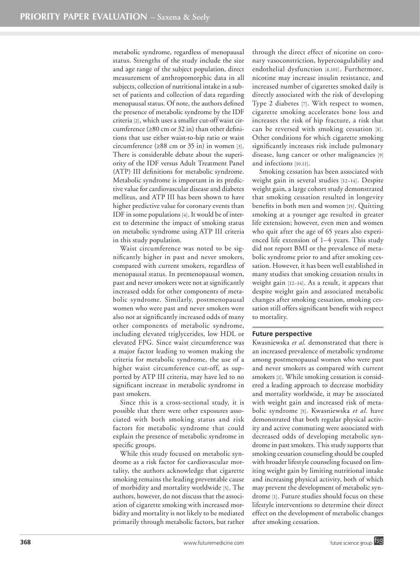metabolic syndrome, regardless of menopausal status. Strengths of the study include the size and age range of the subject population, direct measurement of anthropomorphic data in all subjects, collection of nutritional intake in a subset of patients and collection of data regarding menopausal status. Of note, the authors defined the presence of metabolic syndrome by the IDF criteria [2], which uses a smaller cut-off waist circumference ( $\geq 80$  cm or 32 in) than other definitions that use either waist-to-hip ratio or waist circumference ( $\geq 88$  cm or 35 in) in women [3]. There is considerable debate about the superiority of the IDF versus Adult Treatment Panel (ATP) III definitions for metabolic syndrome. Metabolic syndrome is important in its predictive value for cardiovascular disease and diabetes mellitus, and ATP III has been shown to have higher predictive value for coronary events than IDF in some populations [4]. It would be of interest to determine the impact of smoking status on metabolic syndrome using ATP III criteria in this study population.

Waist circumference was noted to be significantly higher in past and never smokers, compared with current smokers, regardless of menopausal status. In premenopausal women, past and never smokers were not at significantly increased odds for other components of metabolic syndrome. Similarly, postmenopausal women who were past and never smokers were also not at significantly increased odds of many other components of metabolic syndrome, including elevated triglycerides, low HDL or elevated FPG. Since waist circumference was a major factor leading to women making the criteria for metabolic syndrome, the use of a higher waist circumference cut-off, as supported by ATP III criteria, may have led to no significant increase in metabolic syndrome in past smokers.

Since this is a cross-sectional study, it is possible that there were other exposures associated with both smoking status and risk factors for metabolic syndrome that could explain the presence of metabolic syndrome in specific groups.

While this study focused on metabolic syndrome as a risk factor for cardiovascular mortality, the authors acknowledge that cigarette smoking remains the leading preventable cause of morbidity and mortality worldwide [5]. The authors, however, do not discuss that the association of cigarette smoking with increased morbidity and mortality is not likely to be mediated primarily through metabolic factors, but rather through the direct effect of nicotine on coronary vasoconstriction, hypercoagulability and endothelial dysfunction [6,101]. Furthermore, nicotine may increase insulin resistance, and increased number of cigarettes smoked daily is directly associated with the risk of developing Type 2 diabetes [7]. With respect to women, cigarette smoking accelerates bone loss and increases the risk of hip fracture, a risk that can be reversed with smoking cessation [8]. Other conditions for which cigarette smoking significantly increases risk include pulmonary disease, lung cancer or other malignancies [9] and infections [10,11].

Smoking cessation has been associated with weight gain in several studies [12–14]. Despite weight gain, a large cohort study demonstrated that smoking cessation resulted in longevity benefits in both men and women [15]. Quitting smoking at a younger age resulted in greater life extension; however, even men and women who quit after the age of 65 years also experienced life extension of 1–4 years. This study did not report BMI or the prevalence of metabolic syndrome prior to and after smoking cessation. However, it has been well established in many studies that smoking cessation results in weight gain [12–14]. As a result, it appears that despite weight gain and associated metabolic changes after smoking cessation, smoking cessation still offers significant benefit with respect to mortality.

#### **Future perspective**

Kwasniewska *et al.* demonstrated that there is an increased prevalence of metabolic syndrome among postmenopausal women who were past and never smokers as compared with current smokers [1]. While smoking cessation is considered a leading approach to decrease morbidity and mortality worldwide, it may be associated with weight gain and increased risk of metabolic syndrome [5]. Kwasniewska *et al.* have demonstrated that both regular physical activity and active commuting were associated with decreased odds of developing metabolic syndrome in past smokers. This study supports that smoking cessation counseling should be coupled with broader lifestyle counseling focused on limiting weight gain by limiting nutritional intake and increasing physical activity, both of which may prevent the development of metabolic syndrome [1]. Future studies should focus on these lifestyle interventions to determine their direct effect on the development of metabolic changes after smoking cessation.